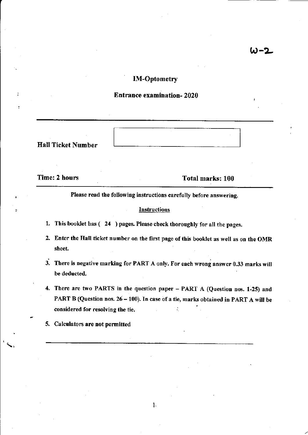# IM-Optometry

## Entrance examination- 2020

Hall Ticket Number

Time: 2 hours Total marks: 100

Please read the following instructions carefully before answering.

### **Instructions**

- 1. This booklet has ( 24 ) pages, Please check thoroughly for all the pages.
- 2. Enter the Hall ticket number on the first page of this booklet as well as on the OMR sheet.
- 3. There is negatiye marking for PART A only. For each wrong answer 0.33 marks will be deducted.
- 4. There are two PARTS in the question paper PART A (Question nos, l-25) and PART B (Question nos.  $26 - 100$ ). In case of a tie, marks obtained in PART A will be considered for resolving the tie.

l.

5. Calculators &re not permitted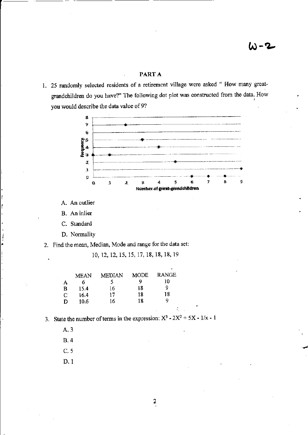## PART A

1. 25 randomly selected residents of a retirement village were asked " How many greatgrandchildren do you have?" The following dot plot was constructed from the data. How you would describe the data value of 9?



A. An outlier

B. An inlier

C. Standard

D. Normality

2. Find the mean, Median, Mode and range for the data set:

10, 12, 12, 15, 15, 17, 18, 18, 18, 19

| А<br>в<br>С | <b>MEAN</b><br>o<br>15.4<br>16.4 | MEDIAN<br>5<br>16<br>17 | MODE<br>9<br>18<br>18 | RANGE<br>10<br>9<br>18 |
|-------------|----------------------------------|-------------------------|-----------------------|------------------------|
|             |                                  |                         |                       |                        |
| D           | 10.6                             | 16                      | 18                    | Q                      |

- 3. State the number of terms in the expression:  $X^3 2X^2 + 5X 1/x 1$ 
	- $A.3$

 $B.4$ 

 $C.5$ 

 $D.1$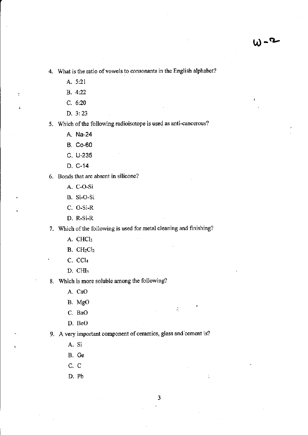4. What is the ratio of vowels to consonants in the English alphabet?

- A. 5:21
- B. 4:22

 $\overline{a}$ 

- $C. 6:20$
- D. 3:23

5. Which of the following radioisotope is used as anti-cancerous?

- A. Na-24
- **B.** Co-60
- C. U-235
- D. C-14
- 6. Bonds that are absent in silicone?
	- A. C-O-Si
	- B. Si-O-Si
	- C. O-Si-R
	- D. R-Si-R

7. Which of the following is used for metal cleaning and finishing?

- A. CHCl3
- $B. CH<sub>2</sub>Cl<sub>2</sub>$
- C. CCl<sub>4</sub>
- $D.$  CHI<sub>3</sub>

8. Which is more soluble among the following?

- A. CaO
- B. MgO
- C. BaO
- D. BeO

9. A very important component of ceramics, glass and cement is?

- A. Si
- B. Ge
- C. C
- D. Pb

 $\tilde{C}$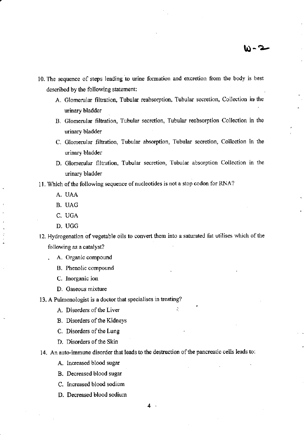- 10. The sequence of steps leading to urine fomation and excretion ftom the body is best described by the following statement:
	- A. Glomerular filtration, Tubular reabsorption, Tubular secretion, Collection in the urinary bladder
	- B. Glomerular filtration, Tubular secretion, Tubular reabsorption Collection in the urinary bladder
	- C. Glomerular filtration, Tubular absorption, Tubular secretion, Collection in the urinary bladder
	- D. Glomerular filtration, Tubular secretion, Tubular absorption Collection in the urinary bladder

11. Which of the following sequence of nucleotides is not a stop codon for RNA?

A. UAA

.

- B. UAG
- , C. UGA
- D. UGG

12. Hydrogenation of vegetable oils to convert them into a saturated fat utilises which of the following as a catalyst?

- . A. Organic compound
	- B. Phenolic compound
	- C. Inorganic ion
	- D. Gaseous mixture

13. A Pulmonologist is a doctor that specialises in treating?

- A. Disorders of the Liver  $\ddot{\phantom{a}}$
- B. Disorders of the Kidneys
- C. Disorders of the Lung
- D. Disorders of the Skin
- 14. An auto-immune disorder that leads to the destruction of the pancreatic cells leads to:
	- A. Increased blood sugar
	- B. Decreased blood sugar
	- C. Increased blood sodium
	- D. Decreased blood sodium

4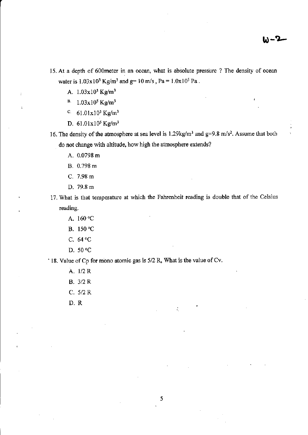- 15. At a depth of 600meter in an ocean, what is absolute pressure ? The density of ocean water is  $1.03x10^3$  Kg/m<sup>3</sup> and g= 10 m/s, Pa =  $1.0x10^5$  Pa.
	- A.  $1.03x10^3$  Kg/m<sup>3</sup>
	- $B = 1.03x10^5$  Kg/m<sup>3</sup>
	- c.  $61.01x10^3$  Kg/m<sup>3</sup>
	- D.  $61.01x10^5$  Kg/m<sup>3</sup>
- 16. The density of the atmosphere at sea level is  $1.29 \text{kg/m}^3$  and  $g=9.8 \text{ m/s}^2$ . Assume that both do not change with altitude, how high the atmosphere extends?
	- A. 0.0798 m
	- B. 0.798 m
	- C. 7.98 m
	- D. 79.8 m
- 17. What is that temperature at which the Fahrenheit reading is double that of the Celsius reading.
	- A. 160 "c
	- B. 150 °C
	- C.  $64^{\circ}$ C
	- D. 50 "C

' 18. Value of Cp for mono atomic gas is 5/2 R, What is the value ofCv.

- A. 1/2 R
- B. 3/2 R
- c. 5/2 R
- D.R

÷.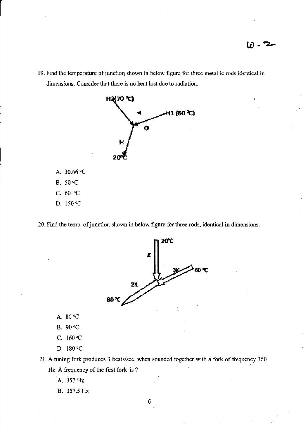19. Find the temperature of junction shown in below figure for three metallic rods identical in dimensions. Consider that there is no heat lost due to radiation.



- A. 30.66 °C
- **B.** 50 °C
- C.  $60 °C$
- D. 150 °C

20. Find the temp. of junction shown in below figure for three rods, identical in dimensions.



- A. 80 °C
- **B.** 90 °C
- C.  $160^{\circ}C$
- D. 180 °C

21. A tuning fork produces 3 beats/sec. when sounded together with a fork of frequency 360 Hz Å frequency of the first fork is ?

- A. 357 Hz
- B. 357.5 Hz

6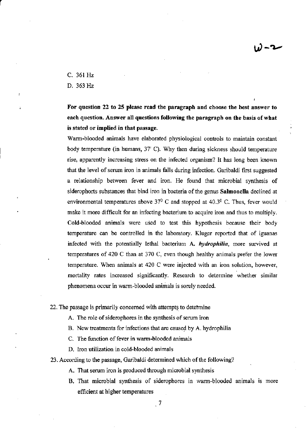Y)-v

c. 361Hz

D, 363 Hz

For question 22 to 25 please read the paragraph and choose the best answer to each question. Answer all questions following the paragraph on the basis of what is stated or implied in that passage.

Warm-blooded animals have elaborated physiological controls to maintain constant body temperature (in humans, 37' C). Why then during sickness should temperature rise, apparently increasing stress on the infeoted organism? lt has long been known that the level of serum iron in animals falls during infection. Garibaldi first suggested a relationship between fever and iron. He found that microbial synthesis of siderophorts substances that bind iron in bacteria of the genus Salmonella declined at environmental temperatures above  $37^0$  C and stopped at 40.3<sup>0</sup> C. Thus, fever would make it more difficult for an infecting bacterium to acquire iron and thus to multiply. Cold-blooded animals were used to test this hypothesis because their body temperature can be controlled in the laboratory. Kluger reported that of iguanas infected with the potentially lethal bacterium  $A$ , *hydrophilia*, more survived at temperatures of 420 C than at 370 C, even though healthy animals prefer the lower temperatue. When anirnals at 420 C were injected with an iron solution, however, mortality rates increased significantly. Research to determine whether similar phenomena occur in warm-blooded animals is sorely needed.

22. The passage is primarily concerned with attempts to determine

- A. The role of siderophores in the synthesis of serum iron
- B. New treatments for infections that are caused by A. hydrophilia
- C. The function of fever in warm-blooded animals
- D. Iron utilization in cold-blooded animals

23. According to the passage, Garibaldi determined which of the following?

- A, That serum iron is produced through microbial synthesis
- B. That microbial synthesis of siderophores in warm-blooded animals is more efficient at higher temperatures

 $\sqrt{7}$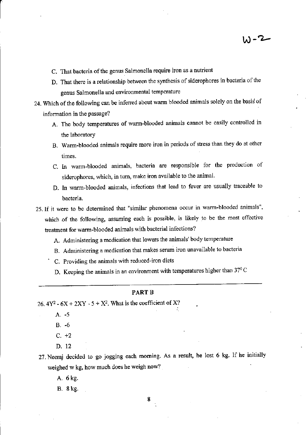- C. That bacteria of the genus Salmonella require iron as a nutrient
- D. That there is a relationship between the synthesis of siderophores in bacteria of the genus Salmonella and environmental temperature
- 24. Which of the following can be inferred about warm blooded animals solely on the basid of infomation in the passage?
	- A. The body temperatues of wam-blooded animals cannot be easily controlled in the laboratory
	- B. Warm-blooded animals require more iron in periods of stress than they do at other times.
	- C. In warm-blooded animals, bacteria are responsible for the production of siderophores, which, in turn, make iron available to the animal.
	- D. In warm-blooded animals, infections that lead to fever are usually traceable to bacteria.
- 25.If it were to be determined that "similar phenomena occur in warm-blooded animals"' which of the following, assuming each is possible, is likely to be the most effective treatment for warm-blooded animals with bacterial infections?
	- A. Administering a medication that lowers the animals' body temperature
	- B. Administering a medication that makes serum iron unavailable to bacteria
	- C. Providing the animals with reduced-iron diets
		- D. Keeping the animals in an environment with temperatures higher than  $37^{\circ}$ C

#### PART B

26.  $4Y^2$  -  $6X + 2XY - 5 + X^2$ . What is the coefficient of X?

- A. -5
- B. -6
- $C. +2$
- D. 12

27. Neeraj decided to go jogging each morning. As a result, he lost 6 kg. If he initially weighed w kg, how much does he weigh now?

A. 6 kg.

B.8kg.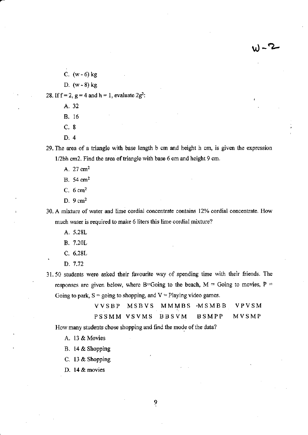2 - ا

- C.  $(w 6)$  kg
- D.  $(w 8)$  kg

28. If  $f = 2$ ,  $g = 4$  and  $h = 1$ , evaluate  $2g^2$ :

- A. <sup>32</sup>
- B. 16
- c.8
- D.4

29. The area of a triangle with base length b cm and height h cm, is given the expression 1/2bh cm2. Find the area of triangle with base 6 cm and height 9 cm.

- A.  $27 \text{ cm}^2$
- B.54cm2
- C. 6 cm2
- D. 9 cm2

30. A mixture of water and lime cordial concentrate contains 12% cordial concentrate. How much water is required to make 6 liters this lime cordial mixture?

- 4.5.28L
- B. 7.20L
- c. 6.28L
- D.7.72

31.50 students were asked their favourite way of spending time with their friends. The responses are given below, where B=Going to the beach,  $M =$  Going to movies, P = Going to park,  $S =$  going to shopping, and  $V =$  Playing video games.

|  | VVSBP MSBVS MMMBS MSMBB VPVSM |  |
|--|-------------------------------|--|
|  | PSSMM VSVMS BBSVM BSMPP MVSMP |  |

How many students chose shopping and find the mode of the data?

A. 13 & Movies

- B. 14 & Shopping
- C. 13 & Shopping
- D. l4 & movies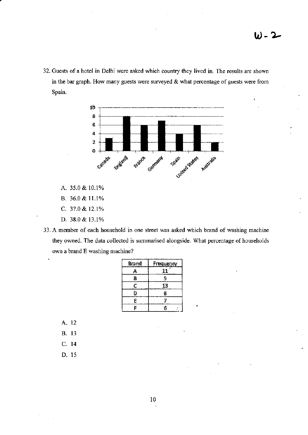32. Guests of a hotel in Delhi were asked which country they lived in. The results are shown in the bar graph. How many guests were surveyed  $\&$  what percentage of guests were from Spain.



- A. 35.0 & 10.1%
- B. 36.0 & 11.1%
- C. 37.0 & 12.1%
- D. 38.0 & 13.1%
- 33. A member of each household in one street was asked which brand of washing machine they owned. The data collected is summarised alongside. What percentage of households own a brand E washing machine?

| Brand | <b>Frequency</b> |
|-------|------------------|
| А     |                  |
| В     | 5                |
| ¢     | ĹЗ               |
| D     | 8                |
| E     |                  |
|       | 6                |

- A. 12
- **B.** 13
- $C.14$
- D. 15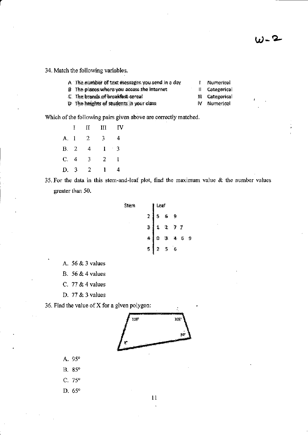34. Match the following variables.

| A The number of text messages you send in a day | Numerical       |
|-------------------------------------------------|-----------------|
| B The places where you access the internet      | Categorical     |
| C The brands of breakfast cereal                | ill Categorical |
| D The heights of students in your class         | IV Numerical    |

Which of the following pairs given above are correctly matched.

|      | $\bf{I}$ | П              | Ш              | IV         |
|------|----------|----------------|----------------|------------|
| A. 1 |          | $\overline{2}$ | $\overline{3}$ | 4          |
| B. 2 |          | 4              | 1              | $\ddot{3}$ |
| C. 4 |          | 3              | 2              | -1         |
| D. 3 |          | 2              | 1              | 4          |

35. For the data in this stem-and-leaf plot, find the maximum value & the number values greater than 50.



- A. 56 & 3 values
- B.  $56 & 4$  values
- C. 77 & 4 values
- D. 77 & 3 values

36. Find the value of X for a given polygon:



- A. 95°
- B. 85°
- C.  $75^{\circ}$
- D. 65°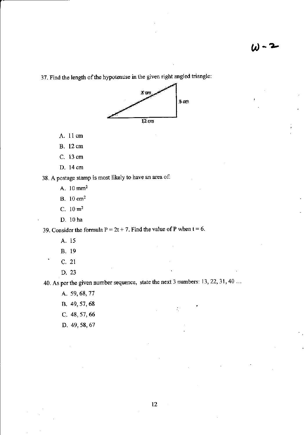37. Find the length of the hypotenuse in the given right angled triangle:



- A. 11 cm
- **B.** 12 cm
- C. 13 cm
- D. 14 cm

38. A postage stamp is most likely to have an area of:

- A. 10 mm<sup>2</sup>
- $B. 10 cm<sup>2</sup>$
- C.  $10 \text{ m}^2$
- D. 10 ha

39. Consider the formula  $P = 2t + 7$ . Find the value of P when  $t = 6$ .

- A. 15
- **B.** 19
- $C. 21$
- D. 23

40. As per the given number sequence, state the next 3 numbers: 13, 22, 31, 40 ...

 $\mathcal{L}^{\alpha}_{\alpha}$ 

A. 59, 68, 77

- B. 49, 57, 68
- C. 48, 57, 66
- D. 49, 58, 67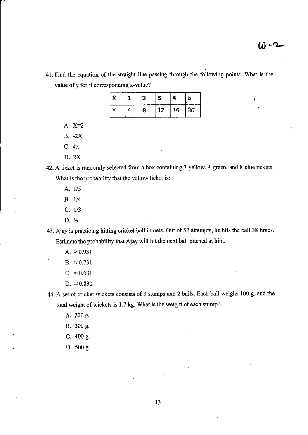41. Find the equation of the straight line passing through the following points. What is the value of y for it corresponding x-value?

| 15.2 | <br>-en | - 55 |    | c<br>Z.   |
|------|---------|------|----|-----------|
| м.   | -8      | -3   | 16 | żO.<br>51 |

A.  $X=2$ 

B. -2X

- C. 4x
- D. 2X
- 42. A ticket is randomly selected ftom a box containing 3 yellow, 4 green, and 8 blue tickets. What is the probability that the yellow ticket is:
	- A. 1/5
	- B. 1/4
	- $C. 1/3$
	- D.%

43. Ajay is practicing hitting cricket ball in nets. Out of 52 attempts, he hits the ball 38 times. Estimate the probability that Ajay will hit the next ball pitched at him.

$$
A. \approx 0.931
$$
  
B. \approx 0.731

- C.  $\approx 0.631$
- D.  $\approx 0.831$

44. A set of cricket wickets consists of 3 stumps and 2 bails. Each bail weighs 100 g, and the total weight of wickets is 1.7 kg. What is the weight of each stump?

- A. 200 g.
- B. 300 g.
- C. 400 g.
- D. 500 g.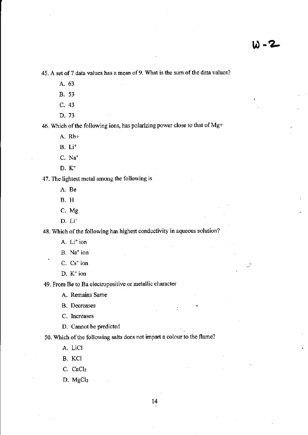$\mathbb{R}$ 

45. A set of 7 data values has a mean of 9. What is the sum of the data values?

- A. 63
- **B.** 53
- C. 43
- D. 73

46. Which of the following ions, has polarizing power close to that of Mg+

A. Rb+

- $B. Li<sup>+</sup>$
- C. Na<sup>+</sup>
- D.  $K^+$

47. The lightest metal among the following is

- A. Be
- **B.** H
- C. Mg
- $D. Li<sup>+</sup>$

48. Which of the following has highest conductivity in aqueous solution?

- A. Li<sup>+</sup> ion
- B. Na<sup>+</sup> ion
- C. Cs<sup>+</sup> ion
- $D. K<sup>+</sup>$  ion

49. From Be to Ba electropositive or metallic character

A. Remains Same

**B.** Decreases

C. Increases

D. Cannot be predicted

50. Which of the following salts does not impart a colour to the flame?

A. LiCl

- B. KCl
- $C.$   $CaCl<sub>2</sub>$

 $D. MgCl<sub>2</sub>$ 

 $14$ 

÷.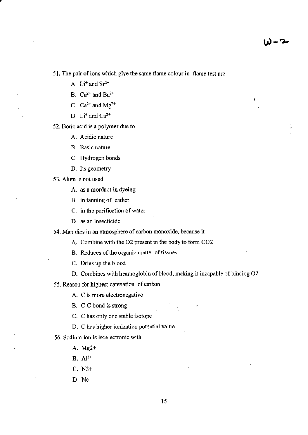51. The pair of ions which give the same flame colour in flame test are

A.  $Li<sup>+</sup>$  and  $Sr<sup>2+</sup>$ 

B.  $Ca^{2+}$  and  $Ba^{2+}$ 

C.  $Ca^{2+}$  and Mg<sup>2+</sup>

D.  $Li^+$  and  $Ca^{2+}$ 

52. Boric acid is a polymer due to

A. Acidic nature

B. Basic nature

C. Hydrogen bonds

D. Its geometry

53. Alum is not used

A. as a mordant in dyeing

B. in tanning of leather

C. in the purification of water

D. as an insecticide

54. Man dies in an atmosphere of carbon monoxide, because it

A. Combine with the O2 present in the body to form CO2

B. Reduces of the organic matter of tissues

C. Dries up the blood

D. Combines with heamoglobin of blood, making it incapable of binding O2

55. Reason for highest catenation of carbon

A. C is more electronegative

B. C-C bond is strong

C. C has only one stable isotope

D. C has higher ionization potential value

56. Sodium ion is isoelectronic with

A. Mg2+

 $B. Al^{3+}$ 

 $C. N3+$ 

D. Ne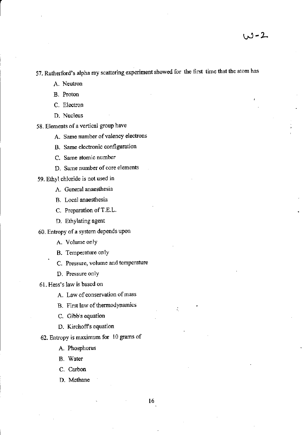57. Rutherford's alpha ray scattering experiment showed for the first time that the atom has

- A. Neutron
- B. Proton
- C. Electron
- D. Nucleus

58. Elements of a vertical group have

- A. Same number of valency electrons
- B. Same electonic configuration
- C. Same atomic number
- D. Same number of core elements

59. Ethyl chloride is not used in

- A. General anaesthesia
- B. Local anaesthesia
- C. Preparation of T.E.L.
- D. Ethylating agent
- 60. Entropy of a system depends upon
	- A. Volume onlY
	- B. Temperature only
	- C. Pressure, volume and temperature
	- D. Pressure onlY
- 61. Hess's law is based on
	- A. Law of conservation of mass
	- B. First law of thermodynamics
	- C. Gibb's equation
	- D. Kirchoff's equation
- 62, Entropy is maximum for 10 grams of
	- A. Phosphorus
	- B. Water
	- C. Carbon
	- D. Methane

÷.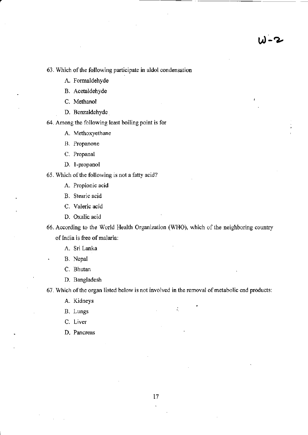63. Which of the following participate in aldol condensation

A. Formaldehyde

B. Acetaldehyde

C. Methanol

D. Benzaldehyde

64. Among the following least boiling point is for

A. Methoxyethane

B. Propanone

C. Propanal

D. 1-propanol

65. Which of the following is not a fatty acid?

A. Propionic acid

B. Stearic acid

C. Valeric acid

D. Oxalic acid

66. According to the World Health Organization (WHO), which of the neighboring country of India is free of malaria:

A. Sri Lanka

. B. Nepal

C. Bhutan

D. Bangladesh

67. Which of the organ listed below is not involved in the removal of metabolic end products:

A. Kidneys

B. Lungs : and the set of the set of the set of the set of the set of the set of the set of the set of the set of the set of the set of the set of the set of the set of the set of the set of the set of the set of the set o

C. Liver

D. Pancreas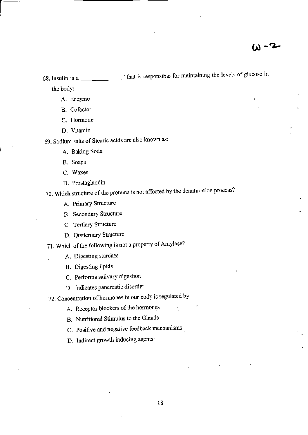$W - 2$ 

68. Insulin is a <u>that is responsible for maintaining</u> the levels of glucose in the body:

- A. Enzyme
- B. Cofactor
- C, Homone
- D. Vitamin

69. Sodium salts of Stearic acids are also known as:

- A. Baking Soda
- B. Soaps
- C. Waxes
- D. Prostaglandin

70. Which structure of the proteins is not affected by the denaturation process?

- A. Primary Structure
- B. Secondary Structwe
- C. Tertiary Structure
- D. Quaternary Structure

71. Which of the following is not a property of Amylase?

- . A. Digesting starohes
- B. Digesting lipids
- C. Performs salivary digestion
- D. Indicates pancreatic disorder
- ?2- Concentration of hormones in our body is regulated by
	- A. Receptor blockers of the hormones
	- B. Nutritional Stimulus to the Glands
	- C. Positive and negative feedback mechanisms
	- D. Indirect growth inducing agents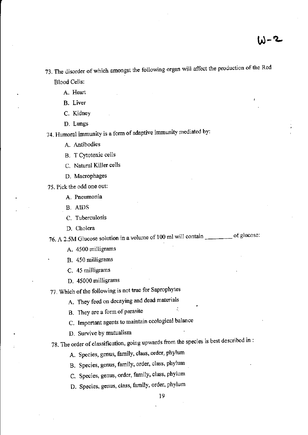- 73. The disorder of which amongst the following organ will affect the production of the Red Blood Cells:
	- A. Heart
	- B. Liver
	- C. KidneY
	- D. Lungs

74. Humoral immunity is a form of adaptive immunity mediated by:

- A. Antibodies
- B. T Cytotoxic cells
- C. Natural Killer cells
- D. Macrophages
- ?5. Pick the odd one out:
	- A. Pneumonia
	- B. AIDS
	- C. Tuberculosis
	- D. Cholera

76. A 2.5M Glucose solution in a volume of 100 ml will contain \_\_\_\_\_\_\_ of glucose:

- A. 4500 milligrams
- B. 450 milligrams
- C. 45 milligrams
- D. 45000 milligrams

77. Which of the following is not true for Saprophytes

- A. They feed on decaying and dead materials
- B. They are a form of parasite
- C. Important agents to maintain ecological balance
- D. Survive bY mutualism
- 78. The order of classification, going upwards from the species is best described in :
	- A. Species, genus, family, class, order, phylum
	- B. Species, genus, family, order, class, phylum
	- C. Species, genus, order, family, class, phylum
	- D, Species, genus, class, family, order, phylum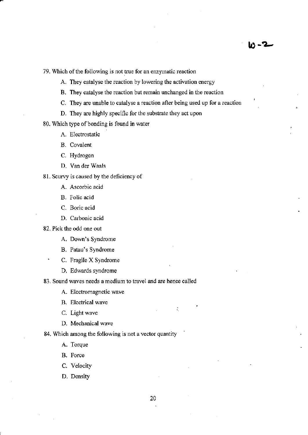79. Which of the following is not true for an enzymatic reaction

A. They catalyse the reaction by lowering the activation energy

- B, They oatalyse the reaction but remain unchanged in the reaction
- C. They are unable to catalyse a reaction after being used up for a reaction
- D. They are highly specific for the substrate they act upon

80. Which type of bonding is found in water

- A. Eleotrostatic
- B. Covalent
- C. Hydrogen
- D. Van der waals

81. Scurvy is caused by the deficiency of

- A. Ascorbic acid
- B. Folic acid
- C. Boric acid
- D. Carbonic acid
- 82. Pick the odd one out
	- A. Down's Syndrome
	- B. Patau's Syndrome
	- C. Fragile X Syndrome
		- D. Edwards syndrome

83. Sound waves needs a medium to travel and are hence called

- A. Electromagnetic wave
- B. Electrical wave
- C. Light wave
- D. Mechanical wave

84, Which among the following is not a vector quantity

- A. Torque
- B. Force
- C. Velocity
- D. Density

 $\zeta_{\rm c}$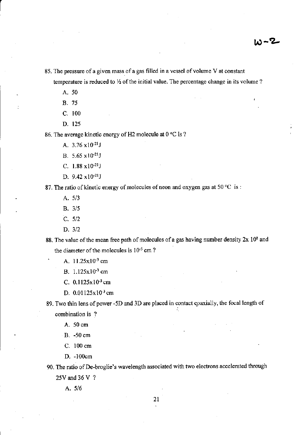85. The pressure of a given mass of a gas filled in a vessel of volume V at constant

temperature is reduced to  $\frac{1}{2}$  of the initial value. The percentage change in its volume ?

A.50

- 8.75
- c. <sup>100</sup>
- D. 125

86. The average kinetic energy of H2 molecule at  $0^{\circ}$ C is ?

A.  $3.76 \times 10^{-21}$ J

- B. 5.65 x10-21J
- C.  $1.88 \times 10^{-21}$ J
- D.  $9.42 \times 10^{-21}$ J

87. The ratio of kinetic energy of molecules of neon and oxygen gas at 50 °C is :

- A, 5/3
- B.3/5
- c. 5/2
- $D. 3/2$

88. The value of the mean free path of molecules of a gas having number density  $2x 10^8$  and the diameter of the molecules is  $10^{-5}$  cm ?

- A.  $11.25 \times 10^{-3}$  cm
- B.  $1.125 \times 10^{-3}$  cm
- C.  $0.1125 \times 10^{-3}$  cm
- D. 0.01125x10<sup>-3</sup> cm

89. Two thin lens of power -5D and 3D are placed in contact coaxially, the focal length of combination is ?

A.50cm

B. -50 cm

- C. 100 cm
- f). -l00cm

90. The ratio of De-broglie's wavelength associated with two electrons accelerated through 25V and <sup>36</sup>V ?

A.5/6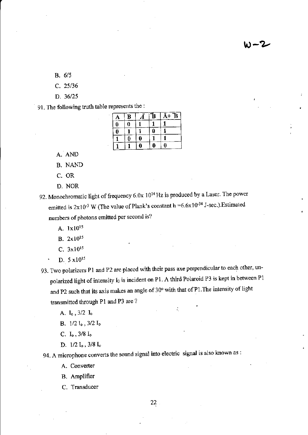8.6/5

c. 25/36

D. 36/25

91. The following truth table represents the :

| A | B | <del>—</del><br>В | $\mathbf B$<br>Ā+ |
|---|---|-------------------|-------------------|
| Ó | Ó |                   |                   |
|   |   |                   |                   |
|   |   |                   |                   |
|   |   |                   |                   |

A. AND

B. NAND

C. OR

D. NOR

92. Monochromatic light of frequency  $6.0x$   $10^{14}$  Hz is produced by a Laser. The power emitted is  $2x10^{-3}$  W (The value of Plank's constant h =6.6x10<sup>-34</sup> J-sec.). Estimated numbers of photons emitted per second is?

A. 1x10<sup>15</sup>

B.2x1015

C.  $3x10^{15}$ 

 $D. 5 \times 10^{15}$ 

93. Two polarizers P1 and P2 are placed with their pass axe perpendicular to each other, unpolarized light of intensity I<sub>0</sub> is incident on P1. A third Polaroid P3 is kept in between P1 and P2 such that its axis makes an angle of  $30^{\circ}$  with that of P1. The intensity of light transmitted through P1 and P3 are ?

A.  $I_0$ ,  $3/2$   $I_0$ 

B.  $1/2I_0$ ,  $3/2I_0$ 

C.  $I_0$ ,  $3/8$   $I_0$ 

D.  $1/2 I_0$ ,  $3/8 I_0$ 

94. A microphone converts the sound signal into electric signal is also known as :

A, Converler

B. AmPlifier

C. Transducer

 $22<sub>1</sub>$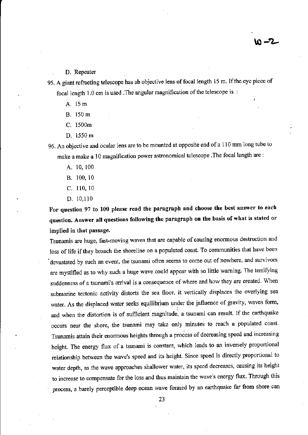D. Repeater

95. A giant refracting telescope has ab objective lens of focal length 15 m. If the eye piece of focal length 1.0 cm is used .The angular magnification of the telescope is :

A. 15m

- B. 150 <sup>m</sup>
- C. 1500m
- D. 1550 m

96. An objective and ocular lens are to be mounted at opposite end of a 110 mm long tube to make a make a 10 magnification power astronomical telescope .The focal length are :

- A. 10, t00
- B. 100, <sup>10</sup>
- c. 110, l0
- D. 10,1l0

For question 97 to 100 please read the paragraph and choose the best snswer to each question. Answer all questions following the paragraph on the basis of what is stated or implied in that passage.

Tsunamis are huge, fast-moving waves that are capable of causing enormous destruction and loss of life if they broach the shoreline on a populated coast. To communities that have been devastated by such an event, the tsunami often seems to come out of nowhere, and survivors are mystified as to why such a huge wave could appear with so little warning. The terrifying suddenness of a tsunami's arrival is a consequence of where and how they are created. When submarine tectonic activity distorts the sea floor, it vertically displaces the overlying sea water. As the displaced water seeks equilibrium under the influence of gravity, waves form, and when the distortion is of sufficient magnitude, a tsunami can result. If the earthquake occurs near the shore, the tsunami may take only minutes to reach a populated coast. Tsunamis attain their enormous heights through a process of decreasing speed and increasing height. The energy flux of a tsunami is constant, which leads to an inversely proportional relationship between the wave's speed and its height. Since speed is directly proportional to water depth, as the wave approaches shallower water, its speed decreases, causing its height to increase to compensate for the loss and thus maintain the wave's energy flux. Through this process, a barely perceptible deep ocean wave formed by an earthquake far from shore can